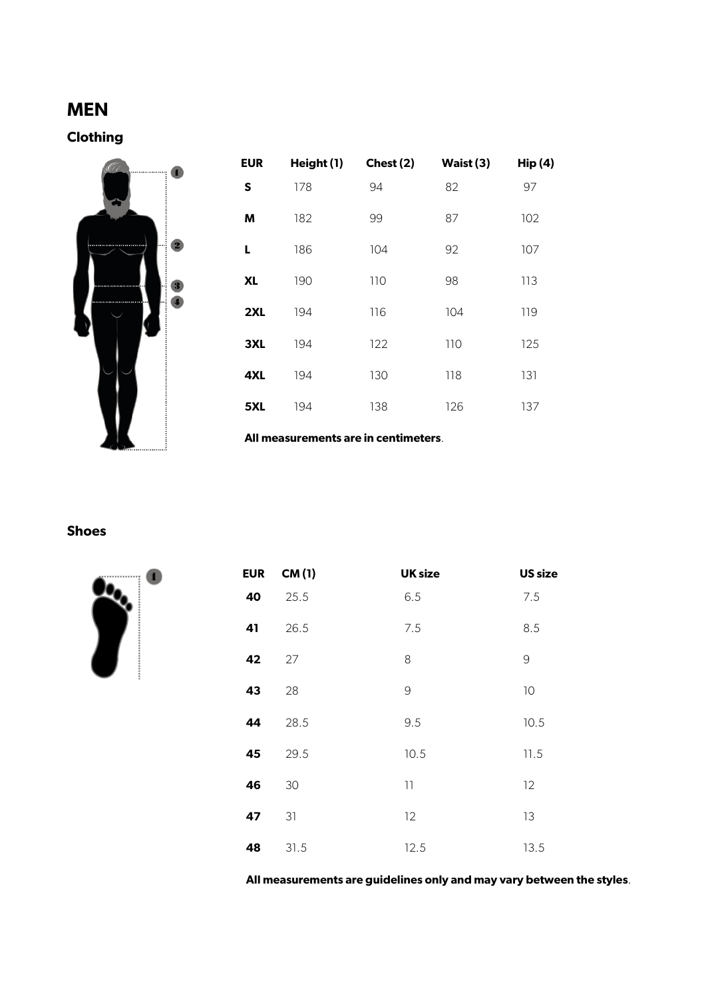# **MEN**

# **Clothing**



| <b>EUR</b> | Height (1) | Chest (2) | Waist (3) | <b>Hip (4)</b> |
|------------|------------|-----------|-----------|----------------|
| S          | 178        | 94        | 82        | 97             |
| M          | 182        | 99        | 87        | 102            |
| L          | 186        | 104       | 92        | 107            |
| <b>XL</b>  | 190        | 110       | 98        | 113            |
| 2XL        | 194        | 116       | 104       | 119            |
| 3XL        | 194        | 122       | 110       | 125            |
| 4XL        | 194        | 130       | 118       | 131            |
| 5XL        | 194        | 138       | 126       | 137            |

**All measurements are in centimeters**.

#### **Shoes**



| <b>EUR</b> | CM(1) | <b>UK size</b>                                              | <b>US size</b>                                            |
|------------|-------|-------------------------------------------------------------|-----------------------------------------------------------|
| 40         | 25.5  | 6.5                                                         | 7.5                                                       |
| 41         | 26.5  | 7.5                                                         | 8.5                                                       |
| 42         | 27    | 8                                                           | $\mathcal{G}% _{M_{1},M_{2}}^{\alpha,\beta}(\mathcal{A})$ |
| 43         | 28    | $\mathcal{G}% _{M_{1},M_{2}}^{\alpha,\beta}(\mathcal{A})$   | 10                                                        |
| 44         | 28.5  | 9.5                                                         | 10.5                                                      |
| 45         | 29.5  | 10.5                                                        | 11.5                                                      |
| 46         | 30    | $\begin{array}{c} \hspace{-0.08cm} \textbf{11} \end{array}$ | 12                                                        |
| 47         | 31    | 12                                                          | 13                                                        |
| 48         | 31.5  | 12.5                                                        | 13.5                                                      |

**All measurements are guidelines only and may vary between the styles**.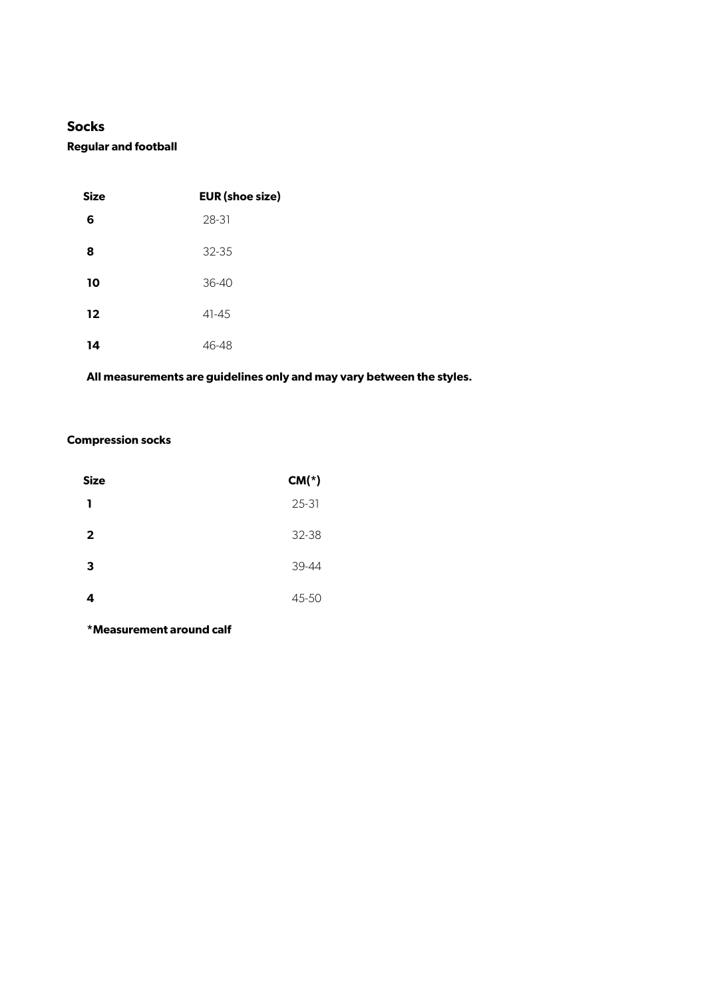# **Socks**

#### **Regular and football**

| <b>Size</b> | <b>EUR</b> (shoe size) |
|-------------|------------------------|
| 6           | 28-31                  |
| 8           | 32-35                  |
| 10          | $36 - 40$              |
| 12          | $41 - 45$              |
| 14          | 46-48                  |

# **All measurements are guidelines only and may vary between the styles.**

#### **Compression socks**

| Size           | $CM(*)$ |
|----------------|---------|
| ı              | 25-31   |
| $\overline{2}$ | 32-38   |
| 3              | 39-44   |
| 4              | 45-50   |

**\*Measurement around calf**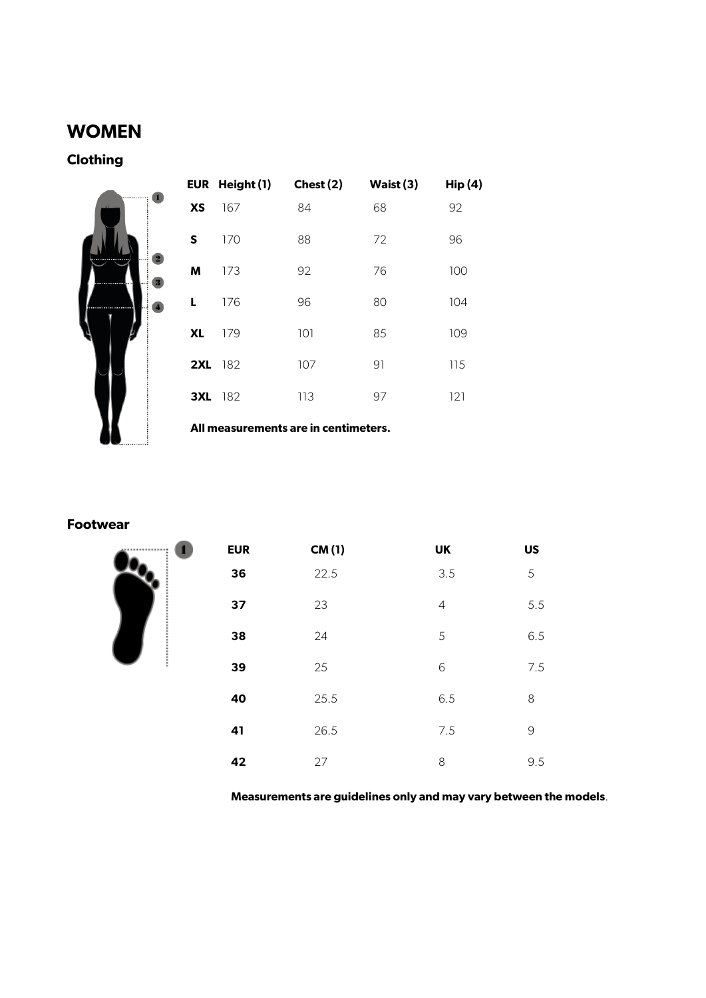# **WOMEN**

**Clothing**

|               | EUR Height (1) | Chest (2)                            | Waist (3) | Hip(4) |
|---------------|----------------|--------------------------------------|-----------|--------|
| <br><b>XS</b> | 167            | 84                                   | 68        | 92     |
| S             | 170            | 88                                   | 72        | 96     |
| M             | 173            | 92                                   | 76        | 100    |
| <br>L         | 176            | 96                                   | 80        | 104    |
| XL            | 179            | 101                                  | 85        | 109    |
|               | <b>2XL</b> 182 | 107                                  | 91        | 115    |
|               | 3XL 182        | 113                                  | 97        | 121    |
|               |                | All measurements are in centimeters. |           |        |

#### **Footwear**



| <b>EUR</b> | CM(1) | UK             | <b>US</b>     |
|------------|-------|----------------|---------------|
| 36         | 22.5  | 3.5            | 5             |
| 37         | 23    | $\overline{4}$ | 5.5           |
| 38         | 24    | 5              | 6.5           |
| 39         | 25    | 6              | 7.5           |
| 40         | 25.5  | 6.5            | 8             |
| 41         | 26.5  | 7.5            | $\mathcal{G}$ |
| 42         | 27    | 8              | 9.5           |

**Measurements are guidelines only and may vary between the models**.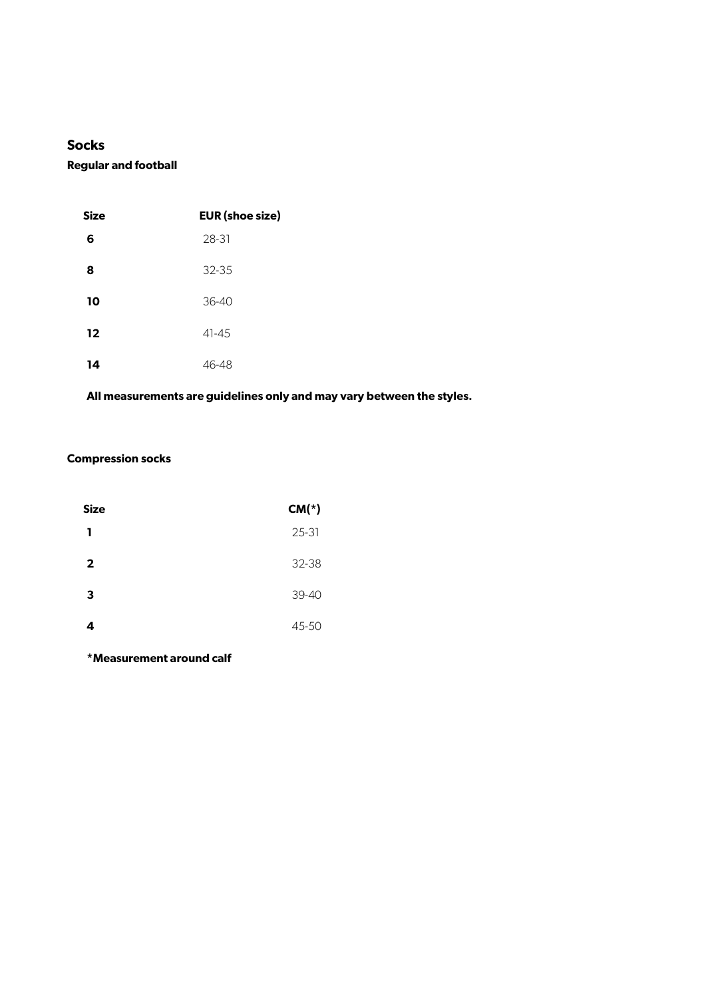### **Socks**

**Regular and football**

| <b>Size</b> | <b>EUR</b> (shoe size) |
|-------------|------------------------|
| 6           | 28-31                  |
| 8           | $32 - 35$              |
| 10          | $36 - 40$              |
| 12          | $41 - 45$              |
| 14          | 46-48                  |

# **All measurements are guidelines only and may vary between the styles.**

#### **Compression socks**

| <b>Size</b>             | $CM(*)$ |
|-------------------------|---------|
| п.                      | 25-31   |
| $\overline{\mathbf{2}}$ | 32-38   |
| 3                       | 39-40   |
| 4                       | 45-50   |

**\*Measurement around calf**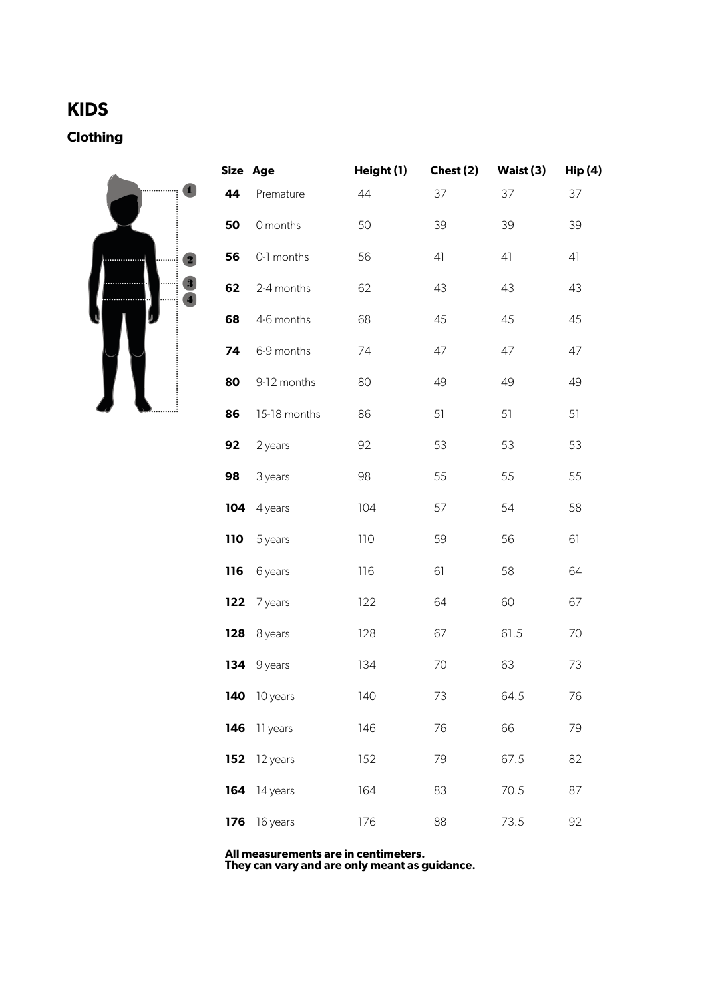# **KIDS**

**Clothing** 



|     | Size Age     | Height (1) | Chest (2) | Waist (3) | Hip(4) |
|-----|--------------|------------|-----------|-----------|--------|
| 44  | Premature    | 44         | 37        | 37        | 37     |
| 50  | 0 months     | 50         | 39        | 39        | 39     |
| 56  | 0-1 months   | 56         | 41        | 41        | 41     |
| 62  | 2-4 months   | 62         | 43        | 43        | 43     |
| 68  | 4-6 months   | 68         | 45        | 45        | 45     |
| 74  | 6-9 months   | 74         | 47        | 47        | 47     |
| 80  | 9-12 months  | 80         | 49        | 49        | 49     |
| 86  | 15-18 months | 86         | 51        | 51        | 51     |
| 92  | 2 years      | 92         | 53        | 53        | 53     |
| 98  | 3 years      | 98         | 55        | 55        | 55     |
| 104 | 4 years      | 104        | 57        | 54        | 58     |
| 110 | 5 years      | 110        | 59        | 56        | 61     |
| 116 | 6 years      | 116        | 61        | 58        | 64     |
| 122 | 7 years      | 122        | 64        | 60        | 67     |
| 128 | 8 years      | 128        | 67        | 61.5      | 70     |
| 134 | 9 years      | 134        | 70        | 63        | 73     |
|     | 140 10 years | 140        | 73        | 64.5      | 76     |
| 146 | 11 years     | 146        | 76        | 66        | 79     |
| 152 | 12 years     | 152        | 79        | 67.5      | 82     |
| 164 | 14 years     | 164        | 83        | 70.5      | 87     |
| 176 | 16 years     | 176        | 88        | 73.5      | 92     |

**All measurements are in centimeters. They can vary and are only meant as guidance.**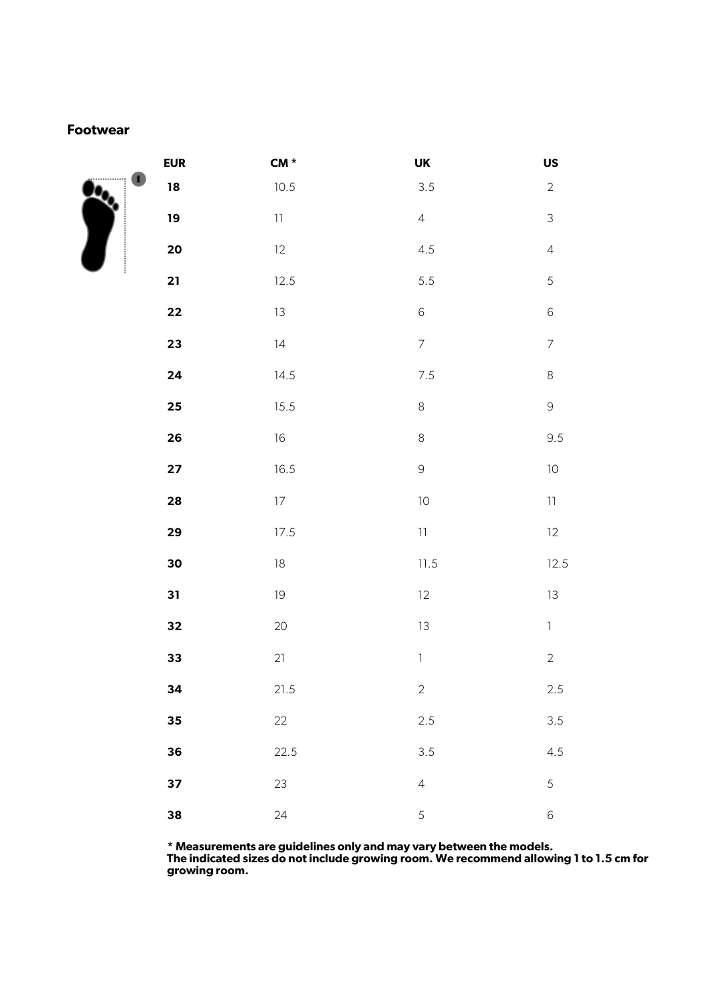#### **Footwear**



| <b>EUR</b>        | $CM *$           | UK                         | US               |
|-------------------|------------------|----------------------------|------------------|
| $\boldsymbol{18}$ | 10.5             | 3.5                        | $\overline{2}$   |
| $19$              | $\bar{1}\bar{1}$ | $\overline{4}$             | $\mathfrak{Z}$   |
| 20                | 12               | 4.5                        | $\sqrt{4}$       |
| 21                | 12.5             | 5.5                        | 5                |
| 22                | $13\,$           | 6                          | $6\phantom{a}$   |
| 23                | $\vert 4$        | $\overline{7}$             | $\overline{7}$   |
| 24                | 14.5             | $7.5\,$                    | $\,8\,$          |
| $25\phantom{.0}$  | 15.5             | $\,8\,$                    | $\mathsf 9$      |
| 26                | $16\,$           | $\,8\,$                    | 9.5              |
| 27                | 16.5             | $\overline{9}$             | $10$             |
| 28                | $17\,$           | 10                         | $\bar{1}\bar{1}$ |
| 29                | 17.5             | $\ensuremath{\mathsf{11}}$ | 12               |
| 30                | $18\,$           | $11.5$                     | 12.5             |
| 31                | 19               | 12                         | $13\,$           |
| 32                | 20               | 13                         | $\bar{1}$        |
| 33                | 21               | $\mathbb{I}$               | $\sqrt{2}$       |
| 34                | 21.5             | $\overline{2}$             | $2.5\,$          |
| 35                | 22               | 2.5                        | 3.5              |
| 36                | 22.5             | 3.5                        | 4.5              |
| 37                | 23               | $\overline{4}$             | 5                |
| 38                | 24               | 5                          | $\,$ 6 $\,$      |

**\* Measurements are guidelines only and may vary between the models.**

**The indicated sizes do not include growing room. We recommend allowing 1 to 1.5 cm for growing room.**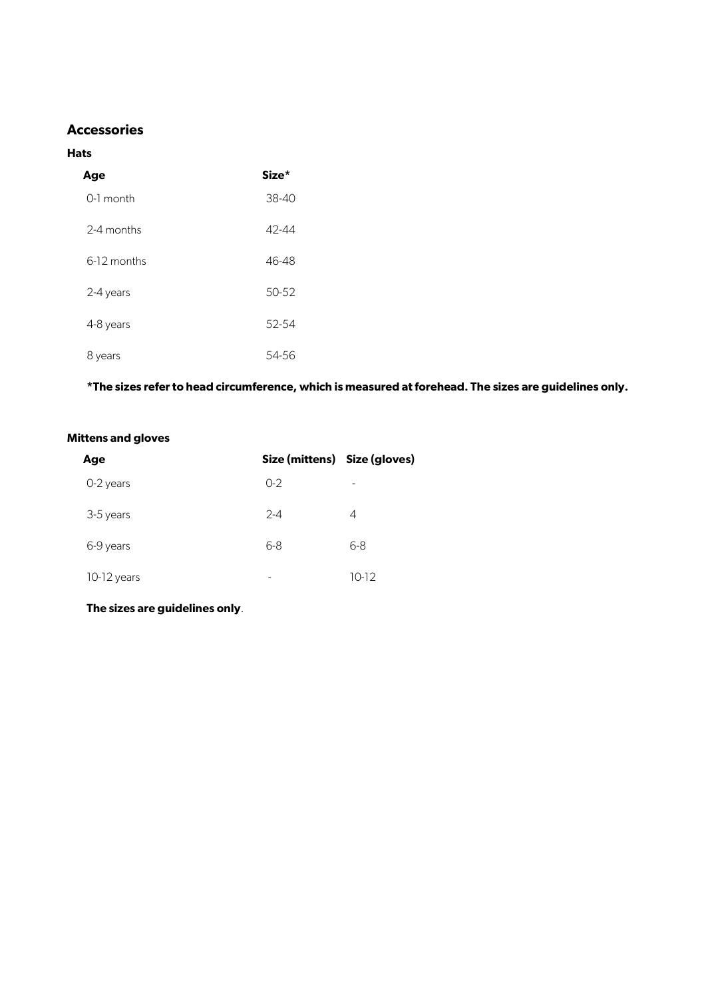## **Accessories**

#### **Hats**

| Age         | Size*     |
|-------------|-----------|
| $0-1$ month | 38-40     |
| 2-4 months  | 42-44     |
| 6-12 months | 46-48     |
| 2-4 years   | 50-52     |
| 4-8 years   | 52-54     |
| 8 years     | $54 - 56$ |

**\*The sizes refer to head circumference, which is measured at forehead. The sizes are guidelines only.**

#### **Mittens and gloves**

| Age         | Size (mittens) Size (gloves) |       |
|-------------|------------------------------|-------|
| 0-2 years   | $O-2$                        | -     |
| 3-5 years   | $2 - 4$                      | 4     |
| 6-9 years   | $6 - 8$                      | 6-8   |
| 10-12 years | -                            | 10-12 |

**The sizes are guidelines only**.